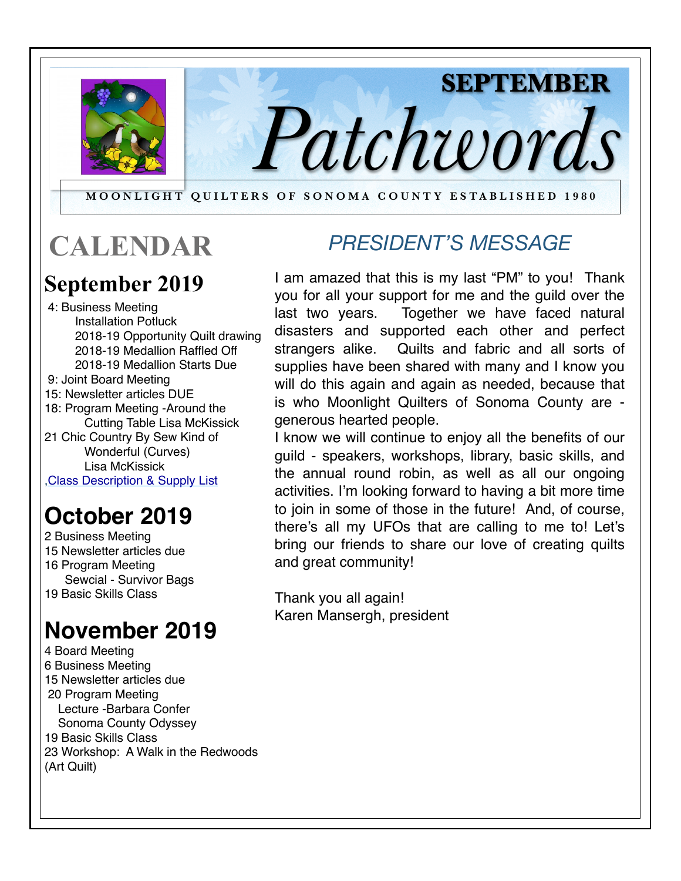

#### **MOONLIGHT QUILTERS OF SONOMA COUNTY ESTABLISHED 1980**

## **CALENDAR**

### **September 2019**

 4: Business Meeting Installation Potluck 2018-19 Opportunity Quilt drawing 2018-19 Medallion Raffled Off 2018-19 Medallion Starts Due 9: Joint Board Meeting 15: Newsletter articles DUE 18: Program Meeting -Around the Cutting Table Lisa McKissick 21 Chic Country By Sew Kind of Wonderful (Curves) Lisa McKissick [,Class Description & Supply List](https://docs.wixstatic.com/ugd/947e1d_0f24c0a3c5474c1e9465021d0c43741f.pdf)

## **October 2019**

2 Business Meeting 15 Newsletter articles due 16 Program Meeting Sewcial - Survivor Bags 19 Basic Skills Class

## **November 2019**

4 Board Meeting 6 Business Meeting 15 Newsletter articles due 20 Program Meeting Lecture -Barbara Confer Sonoma County Odyssey 19 Basic Skills Class 23 Workshop: A Walk in the Redwoods (Art Quilt)

### **CALENDAR** *PRESIDENT'S MESSAGE*

**SEPTEMBER** 

I am amazed that this is my last "PM" to you! Thank you for all your support for me and the guild over the last two years. Together we have faced natural disasters and supported each other and perfect strangers alike. Quilts and fabric and all sorts of supplies have been shared with many and I know you will do this again and again as needed, because that is who Moonlight Quilters of Sonoma County are generous hearted people.

I know we will continue to enjoy all the benefits of our guild - speakers, workshops, library, basic skills, and the annual round robin, as well as all our ongoing activities. I'm looking forward to having a bit more time to join in some of those in the future! And, of course, there's all my UFOs that are calling to me to! Let's bring our friends to share our love of creating quilts and great community!

Thank you all again! Karen Mansergh, president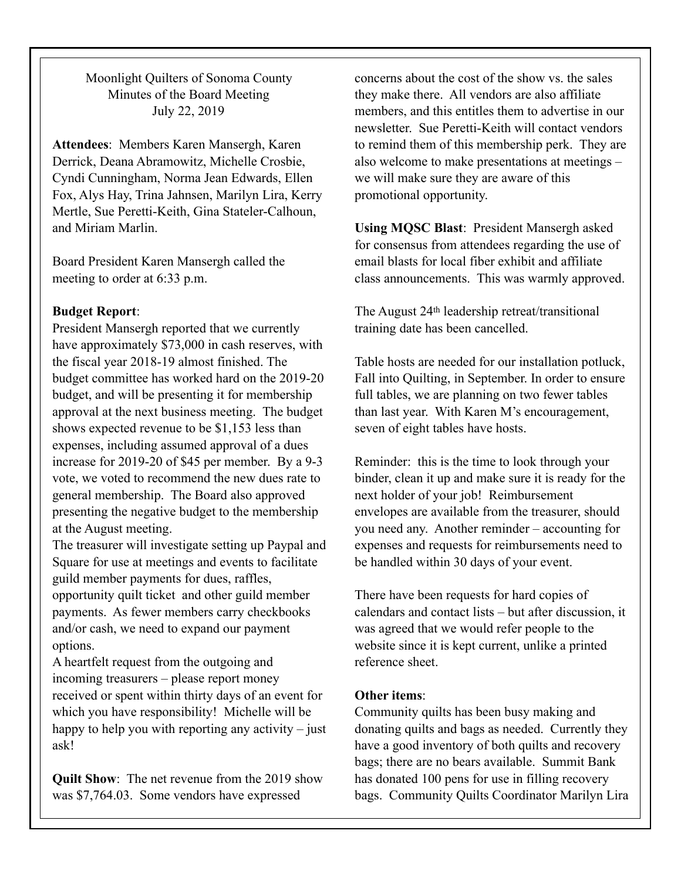Moonlight Quilters of Sonoma County Minutes of the Board Meeting July 22, 2019

**Attendees**: Members Karen Mansergh, Karen Derrick, Deana Abramowitz, Michelle Crosbie, Cyndi Cunningham, Norma Jean Edwards, Ellen Fox, Alys Hay, Trina Jahnsen, Marilyn Lira, Kerry Mertle, Sue Peretti-Keith, Gina Stateler-Calhoun, and Miriam Marlin.

Board President Karen Mansergh called the meeting to order at 6:33 p.m.

#### **Budget Report**:

President Mansergh reported that we currently have approximately \$73,000 in cash reserves, with the fiscal year 2018-19 almost finished. The budget committee has worked hard on the 2019-20 budget, and will be presenting it for membership approval at the next business meeting. The budget shows expected revenue to be \$1,153 less than expenses, including assumed approval of a dues increase for 2019-20 of \$45 per member. By a 9-3 vote, we voted to recommend the new dues rate to general membership. The Board also approved presenting the negative budget to the membership at the August meeting.

The treasurer will investigate setting up Paypal and Square for use at meetings and events to facilitate guild member payments for dues, raffles, opportunity quilt ticket and other guild member payments. As fewer members carry checkbooks and/or cash, we need to expand our payment options.

A heartfelt request from the outgoing and incoming treasurers – please report money received or spent within thirty days of an event for which you have responsibility! Michelle will be happy to help you with reporting any activity  $-$  just ask!

**Quilt Show**: The net revenue from the 2019 show was \$7,764.03. Some vendors have expressed

concerns about the cost of the show vs. the sales they make there. All vendors are also affiliate members, and this entitles them to advertise in our newsletter. Sue Peretti-Keith will contact vendors to remind them of this membership perk. They are also welcome to make presentations at meetings – we will make sure they are aware of this promotional opportunity.

**Using MQSC Blast**: President Mansergh asked for consensus from attendees regarding the use of email blasts for local fiber exhibit and affiliate class announcements. This was warmly approved.

The August 24th leadership retreat/transitional training date has been cancelled.

Table hosts are needed for our installation potluck, Fall into Quilting, in September. In order to ensure full tables, we are planning on two fewer tables than last year. With Karen M's encouragement, seven of eight tables have hosts.

Reminder: this is the time to look through your binder, clean it up and make sure it is ready for the next holder of your job! Reimbursement envelopes are available from the treasurer, should you need any. Another reminder – accounting for expenses and requests for reimbursements need to be handled within 30 days of your event.

There have been requests for hard copies of calendars and contact lists – but after discussion, it was agreed that we would refer people to the website since it is kept current, unlike a printed reference sheet.

#### **Other items**:

Community quilts has been busy making and donating quilts and bags as needed. Currently they have a good inventory of both quilts and recovery bags; there are no bears available. Summit Bank has donated 100 pens for use in filling recovery bags. Community Quilts Coordinator Marilyn Lira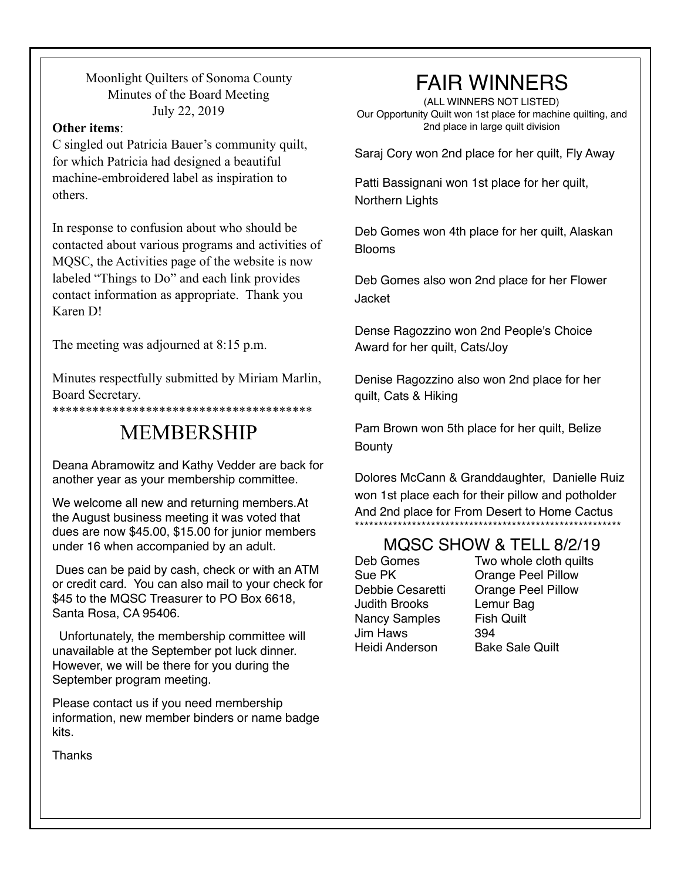Moonlight Quilters of Sonoma County Minutes of the Board Meeting July 22, 2019

#### **Other items**:

C singled out Patricia Bauer's community quilt, for which Patricia had designed a beautiful machine-embroidered label as inspiration to others.

In response to confusion about who should be contacted about various programs and activities of MQSC, the Activities page of the website is now labeled "Things to Do" and each link provides contact information as appropriate. Thank you Karen D!

The meeting was adjourned at 8:15 p.m.

Minutes respectfully submitted by Miriam Marlin, Board Secretary.

\*\*\*\*\*\*\*\*\*\*\*\*\*\*\*\*\*\*\*\*\*\*\*\*\*\*\*\*\*\*\*\*\*\*\*\*\*\*\*

### MEMBERSHIP

Deana Abramowitz and Kathy Vedder are back for another year as your membership committee.

We welcome all new and returning members.At the August business meeting it was voted that dues are now \$45.00, \$15.00 for junior members under 16 when accompanied by an adult.

 Dues can be paid by cash, check or with an ATM or credit card. You can also mail to your check for \$45 to the MQSC Treasurer to PO Box 6618, Santa Rosa, CA 95406.

 Unfortunately, the membership committee will unavailable at the September pot luck dinner. However, we will be there for you during the September program meeting.

Please contact us if you need membership information, new member binders or name badge kits.

### FAIR WINNERS

(ALL WINNERS NOT LISTED) Our Opportunity Quilt won 1st place for machine quilting, and 2nd place in large quilt division

Saraj Cory won 2nd place for her quilt, Fly Away

Patti Bassignani won 1st place for her quilt, Northern Lights

Deb Gomes won 4th place for her quilt, Alaskan Blooms

Deb Gomes also won 2nd place for her Flower Jacket

Dense Ragozzino won 2nd People's Choice Award for her quilt, Cats/Joy

Denise Ragozzino also won 2nd place for her quilt, Cats & Hiking

Pam Brown won 5th place for her quilt, Belize Bounty

Dolores McCann & Granddaughter, Danielle Ruiz won 1st place each for their pillow and potholder And 2nd place for From Desert to Home Cactus \*\*\*\*\*\*\*\*\*\*\*\*\*\*\*\*\*\*\*\*\*\*\*\*\*\*\*\*\*\*\*\*\*\*\*\*\*\*\*\*\*\*\*\*\*\*\*\*\*\*\*\*\*\*\*\*

#### MQSC SHOW & TELL 8/2/19

Judith Brooks Lemur Bag Nancy Samples Fish Quilt Jim Haws 394 Heidi Anderson Bake Sale Quilt

Deb Gomes Two whole cloth quilts Sue PK **Orange Peel Pillow** Debbie Cesaretti Orange Peel Pillow

Thanks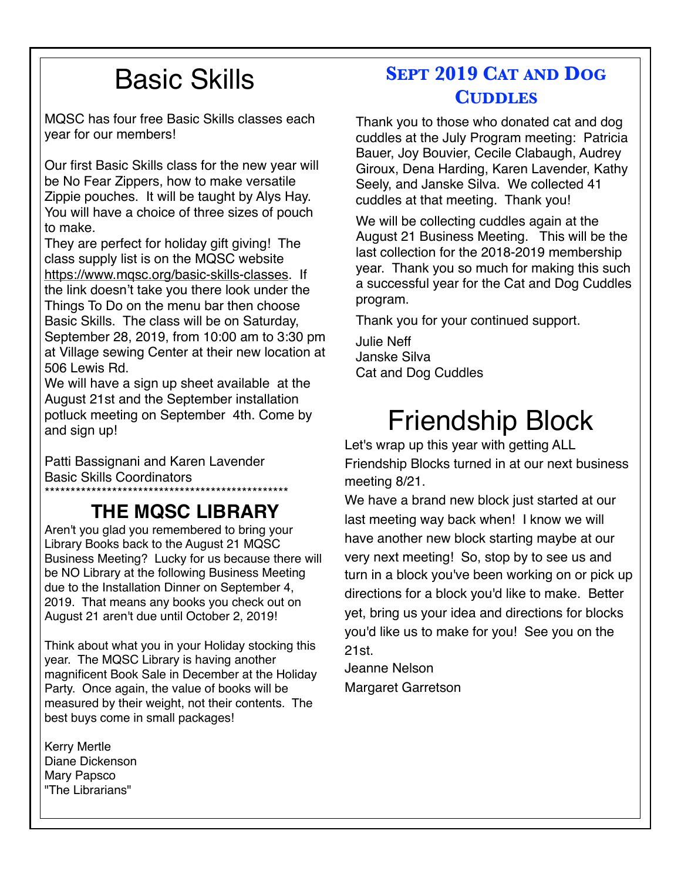## Basic Skills

MQSC has four free Basic Skills classes each year for our members!

Our first Basic Skills class for the new year will be No Fear Zippers, how to make versatile Zippie pouches. It will be taught by Alys Hay. You will have a choice of three sizes of pouch to make.

They are perfect for holiday gift giving! The class supply list is on the MQSC website <https://www.mqsc.org/basic-skills-classes>. If the link doesn't take you there look under the Things To Do on the menu bar then choose Basic Skills. The class will be on Saturday, September 28, 2019, from 10:00 am to 3:30 pm at Village sewing Center at their new location at 506 Lewis Rd.

We will have a sign up sheet available at the August 21st and the September installation potluck meeting on September 4th. Come by and sign up!

Patti Bassignani and Karen Lavender Basic Skills Coordinators

#### \*\*\*\*\*\*\*\*\*\*\*\*\*\*\*\*\*\*\*\*\*\*\*\*\*\*\*\*\*\*\*\*\*\*\*\*\*\*\*\*\*\*\*\*\*\*\* **THE MQSC LIBRARY**

Aren't you glad you remembered to bring your Library Books back to the August 21 MQSC Business Meeting? Lucky for us because there will be NO Library at the following Business Meeting due to the Installation Dinner on September 4, 2019. That means any books you check out on August 21 aren't due until October 2, 2019!

Think about what you in your Holiday stocking this year. The MQSC Library is having another magnificent Book Sale in December at the Holiday Party. Once again, the value of books will be measured by their weight, not their contents. The best buys come in small packages!

Kerry Mertle Diane Dickenson Mary Papsco "The Librarians"

### **SEPT 2019 CAT AND DOG CUDDLES**

Thank you to those who donated cat and dog cuddles at the July Program meeting: Patricia Bauer, Joy Bouvier, Cecile Clabaugh, Audrey Giroux, Dena Harding, Karen Lavender, Kathy Seely, and Janske Silva. We collected 41 cuddles at that meeting. Thank you!

We will be collecting cuddles again at the August 21 Business Meeting. This will be the last collection for the 2018-2019 membership year. Thank you so much for making this such a successful year for the Cat and Dog Cuddles program.

Thank you for your continued support.

Julie Neff Janske Silva Cat and Dog Cuddles

## Friendship Block

Let's wrap up this year with getting ALL Friendship Blocks turned in at our next business meeting 8/21.

We have a brand new block just started at our last meeting way back when! I know we will have another new block starting maybe at our very next meeting! So, stop by to see us and turn in a block you've been working on or pick up directions for a block you'd like to make. Better yet, bring us your idea and directions for blocks you'd like us to make for you! See you on the 21st.

Jeanne Nelson Margaret Garretson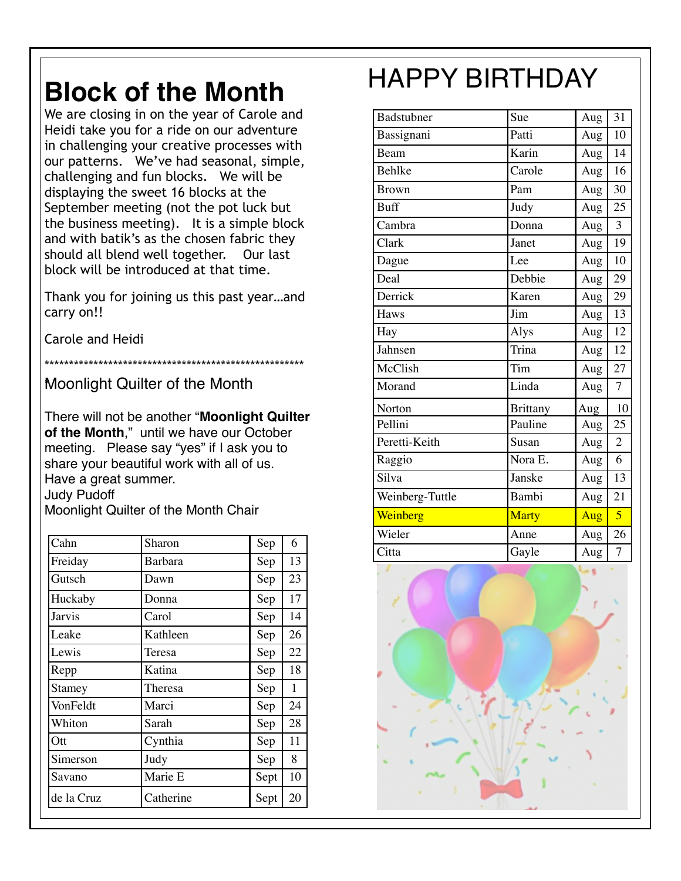## **Block of the Month**

We are closing in on the year of Carole and Heidi take you for a ride on our adventure in challenging your creative processes with our patterns. We've had seasonal, simple, challenging and fun blocks. We will be displaying the sweet 16 blocks at the September meeting (not the pot luck but the business meeting). It is a simple block and with batik's as the chosen fabric they should all blend well together. Our last block will be introduced at that time.

Thank you for joining us this past year…and carry on!!

Carole and Heidi

\*\*\*\*\*\*\*\*\*\*\*\*\*\*\*\*\*\*\*\*\*\*\*\*\*\*\*\*\*\*\*\*\*\*\*\*\*\*\*\*\*\*\*\*\*\*\*\*\*\*\*\*\*

**Moonlight Quilter of the Month** 

There will not be another "**Moonlight Quilter of the Month**," until we have our October meeting. Please say "yes" if I ask you to share your beautiful work with all of us. Have a great summer. Judy Pudoff Moonlight Quilter of the Month Chair

| Cahn       | Sharon         | Sep  | 6  |
|------------|----------------|------|----|
| Freiday    | <b>Barbara</b> | Sep  | 13 |
| Gutsch     | Dawn           | Sep  | 23 |
| Huckaby    | Donna          | Sep  | 17 |
| Jarvis     | Carol          | Sep  | 14 |
| Leake      | Kathleen       | Sep  | 26 |
| Lewis      | Teresa         | Sep  | 22 |
| Repp       | Katina         | Sep  | 18 |
| Stamey     | Theresa        | Sep  | 1  |
| VonFeldt   | Marci          | Sep  | 24 |
| Whiton     | Sarah          | Sep  | 28 |
| Ott        | Cynthia        | Sep  | 11 |
| Simerson   | Judy           | Sep  | 8  |
| Savano     | Marie E        | Sept | 10 |
| de la Cruz | Catherine      | Sept | 20 |

## HAPPY BIRTHDAY

| ole and<br>enture<br>es with<br>simple, | Badstubner      | Sue             | Aug | 31             |
|-----------------------------------------|-----------------|-----------------|-----|----------------|
|                                         | Bassignani      | Patti           | Aug | 10             |
|                                         | Beam            | Karin           | Aug | 14             |
| ll be                                   | Behlke          | Carole          | Aug | 16             |
| ۱e                                      | <b>Brown</b>    | Pam             | Aug | 30             |
| k but                                   | <b>Buff</b>     | Judy            | Aug | 25             |
| le block                                | Cambra          | Donna           | Aug | $\overline{3}$ |
| c they                                  | Clark           | Janet           | Aug | 19             |
| ır last                                 | Dague           | Lee             | Aug | 10             |
| ie.                                     | Deal            | Debbie          | Aug | 29             |
| ear…and                                 | Derrick         | Karen           | Aug | 29             |
| **********                              | Haws            | Jim             | Aug | 13             |
|                                         | Hay             | Alys            | Aug | 12             |
|                                         | Jahnsen         | Trina           | Aug | 12             |
|                                         | McClish         | Tim             | Aug | 27             |
|                                         | Morand          | Linda           | Aug | $\overline{7}$ |
|                                         | Norton          | <b>Brittany</b> | Aug | 10             |
| <b>t Quilter</b><br>ctober              | Pellini         | Pauline         | Aug | 25             |
| ou to                                   | Peretti-Keith   | Susan           | Aug | $\overline{2}$ |
| us.                                     | Raggio          | Nora E.         | Aug | $\overline{6}$ |
|                                         | Silva           | Janske          | Aug | 13             |
|                                         | Weinberg-Tuttle | Bambi           | Aug | 21             |
|                                         | Weinberg        | Marty           | Aug | $\overline{5}$ |
| $\bar{\text{S}}$ ep<br>6                | Wieler          | Anne            | Aug | 26             |
| $\overline{13}$<br>Sep                  | Citta           | Gayle           | Aug | $\overline{7}$ |
|                                         |                 |                 |     |                |

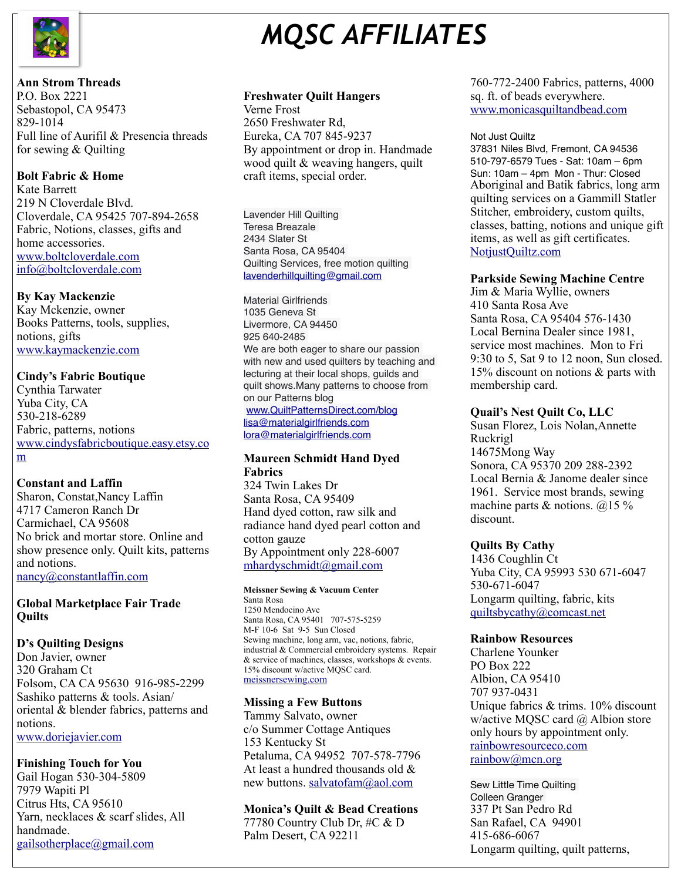

## *MQSC AFFILIATES*

#### **Ann Strom Threads**

P.O. Box 2221 Sebastopol, CA 95473 829-1014 Full line of Aurifil & Presencia threads for sewing & Quilting

#### **Bolt Fabric & Home**

Kate Barrett 219 N Cloverdale Blvd. Cloverdale, CA 95425 707-894-2658 Fabric, Notions, classes, gifts and home accessories. [www.boltcloverdale.com](http://www.boltcloverdale.com) [info@boltcloverdale.com](mailto:info@boltcloverdale.com)

#### **By Kay Mackenzie**

Kay Mckenzie, owner Books Patterns, tools, supplies, notions, gifts [www.kaymackenzie.com](http://www.kaymackenzie.com)

#### **Cindy's Fabric Boutique**

Cynthia Tarwater Yuba City, CA 530-218-6289 Fabric, patterns, notions [www.cindysfabricboutique.easy.etsy.co](http://www.cindysfabricboutique.easy.etsy.com) [m](http://www.cindysfabricboutique.easy.etsy.com)

#### **Constant and Laffin**

Sharon, Constat,Nancy Laffin 4717 Cameron Ranch Dr Carmichael, CA 95608 No brick and mortar store. Online and show presence only. Quilt kits, patterns and notions.

[nancy@constantlaffin.com](mailto:nancy@constantlaffin.com)

#### **Global Marketplace Fair Trade Quilts**

#### **D's Quilting Designs**

Don Javier, owner 320 Graham Ct Folsom, CA CA 95630 916-985-2299 Sashiko patterns & tools. Asian/ oriental & blender fabrics, patterns and notions.

[www.doriejavier.com](http://www.doriejavier.com)

#### **Finishing Touch for You**

Gail Hogan 530-304-5809 7979 Wapiti Pl Citrus Hts, CA 95610 Yarn, necklaces & scarf slides, All handmade. [gailsotherplace@gmail.com](mailto:gailsotherplace@gmail.com)

#### **Freshwater Quilt Hangers**

Verne Frost 2650 Freshwater Rd, Eureka, CA 707 845-9237 By appointment or drop in. Handmade wood quilt & weaving hangers, quilt craft items, special order.

Lavender Hill Quilting Teresa Breazale 2434 Slater St Santa Rosa, CA 95404 Quilting Services, free motion quilting [lavenderhillquilting@gmail.com](mailto:lavenderhillquilting@gmail.com)

Material Girlfriends 1035 Geneva St Livermore, CA 94450 925 640-2485 We are both eager to share our passion with new and used quilters by teaching and lecturing at their local shops, guilds and quilt shows.Many patterns to choose from on our Patterns blog [www.QuiltPatternsDirect.com/blog](http://www.quiltpatternsdirect.com/blog) [lisa@materialgirlfriends.com](mailto:lisa@materialgirlfriends.com)

[lora@materialgirlfriends.com](mailto:lora@materialgirlfriends.com)

#### **Maureen Schmidt Hand Dyed Fabrics**

324 Twin Lakes Dr Santa Rosa, CA 95409 Hand dyed cotton, raw silk and radiance hand dyed pearl cotton and cotton gauze By Appointment only 228-6007 [mhardyschmidt@gmail.com](mailto:mhardyschmidt@gmail.com)

#### **Meissner Sewing & Vacuum Center**

Santa Rosa 1250 Mendocino Ave Santa Rosa, CA 95401 707-575-5259 M-F 10-6 Sat 9-5 Sun Closed Sewing machine, long arm, vac, notions, fabric, industrial & Commercial embroidery systems. Repair & service of machines, classes, workshops & events. 15% discount w/active MQSC card. [meissnersewing.com](http://meissnersewing.com)

#### **Missing a Few Buttons**

Tammy Salvato, owner c/o Summer Cottage Antiques 153 Kentucky St Petaluma, CA 94952 707-578-7796 At least a hundred thousands old & new buttons. [salvatofam@aol.com](mailto:salvatofam@aol.com)

#### **Monica's Quilt & Bead Creations**

77780 Country Club Dr, #C & D Palm Desert, CA 92211

#### 760-772-2400 Fabrics, patterns, 4000 sq. ft. of beads everywhere. [www.monicasquiltandbead.com](http://www.monicasquiltandbead.com)

#### Not Just Quiltz

37831 Niles Blvd, Fremont, CA 94536 510-797-6579 Tues - Sat: 10am – 6pm Sun: 10am – 4pm Mon - Thur: Closed Aboriginal and Batik fabrics, long arm quilting services on a Gammill Statler Stitcher, embroidery, custom quilts, classes, batting, notions and unique gift items, as well as gift certificates. [NotjustQuiltz.com](http://NotjustQuiltz.com)

#### **Parkside Sewing Machine Centre**

Jim & Maria Wyllie, owners 410 Santa Rosa Ave Santa Rosa, CA 95404 576-1430 Local Bernina Dealer since 1981, service most machines. Mon to Fri 9:30 to 5, Sat 9 to 12 noon, Sun closed. 15% discount on notions & parts with membership card.

#### **Quail's Nest Quilt Co, LLC**

Susan Florez, Lois Nolan,Annette Ruckrigl 14675Mong Way Sonora, CA 95370 209 288-2392 Local Bernia & Janome dealer since 1961. Service most brands, sewing machine parts & notions. @15 % discount.

#### **Quilts By Cathy**

1436 Coughlin Ct Yuba City, CA 95993 530 671-6047 530-671-6047 Longarm quilting, fabric, kits [quiltsbycathy@comcast.net](mailto:quiltsbycathy@comcast.net)

#### **Rainbow Resources**

Charlene Younker PO Box 222 Albion, CA 95410 707 937-0431 Unique fabrics & trims. 10% discount w/active MQSC card @ Albion store only hours by appointment only. [rainbowresourceco.com](http://rainbowresourceco.com) [rainbow@mcn.org](mailto:rainbow@mcn.org)

Sew Little Time Quilting Colleen Granger 337 Pt San Pedro Rd San Rafael, CA 94901 415-686-6067 Longarm quilting, quilt patterns,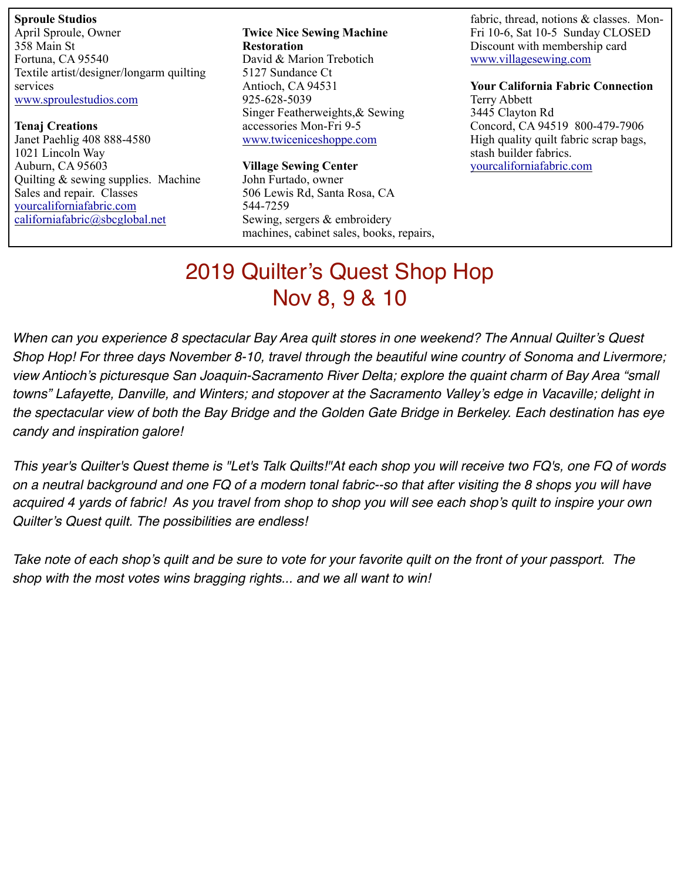**Sproule Studios**  April Sproule, Owner 358 Main St Fortuna, CA 95540 Textile artist/designer/longarm quilting services [www.sproulestudios.com](http://www.sproulestudios.com)

**Tenaj Creations**  Janet Paehlig 408 888-4580 1021 Lincoln Way Auburn, CA 95603 Quilting & sewing supplies. Machine Sales and repair. Classes [yourcaliforniafabric.com](http://yourcaliforniafabric.com) [californiafabric@sbcglobal.net](mailto:californiafabric@sbcglobal.net)

**Twice Nice Sewing Machine Restoration**  David & Marion Trebotich 5127 Sundance Ct Antioch, CA 94531 925-628-5039 Singer Featherweights,& Sewing accessories Mon-Fri 9-5 [www.twiceniceshoppe.com](http://www.twiceniceshoppe.com)

**Village Sewing Center** 

John Furtado, owner 506 Lewis Rd, Santa Rosa, CA 544-7259 Sewing, sergers & embroidery machines, cabinet sales, books, repairs,

fabric, thread, notions & classes. Mon-Fri 10-6, Sat 10-5 Sunday CLOSED Discount with membership card [www.villagesewing.com](http://www.villagesewing.com)

**Your California Fabric Connection**  Terry Abbett 3445 Clayton Rd Concord, CA 94519 800-479-7906 High quality quilt fabric scrap bags, stash builder fabrics. [yourcaliforniafabric.com](http://yourcaliforniafabric.com)

### 2019 Quilter's Quest Shop Hop Nov 8, 9 & 10

*When can you experience 8 spectacular Bay Area quilt stores in one weekend? The Annual Quilter's Quest Shop Hop! For three days November 8-10, travel through the beautiful wine country of Sonoma and Livermore; view Antioch's picturesque San Joaquin-Sacramento River Delta; explore the quaint charm of Bay Area "small towns" Lafayette, Danville, and Winters; and stopover at the Sacramento Valley's edge in Vacaville; delight in the spectacular view of both the Bay Bridge and the Golden Gate Bridge in Berkeley. Each destination has eye candy and inspiration galore!*

*This year's Quilter's Quest theme is "Let's Talk Quilts!"At each shop you will receive two FQ's, one FQ of words on a neutral background and one FQ of a modern tonal fabric--so that after visiting the 8 shops you will have acquired 4 yards of fabric! As you travel from shop to shop you will see each shop's quilt to inspire your own Quilter's Quest quilt. The possibilities are endless!*

*Take note of each shop's quilt and be sure to vote for your favorite quilt on the front of your passport. The shop with the most votes wins bragging rights... and we all want to win!*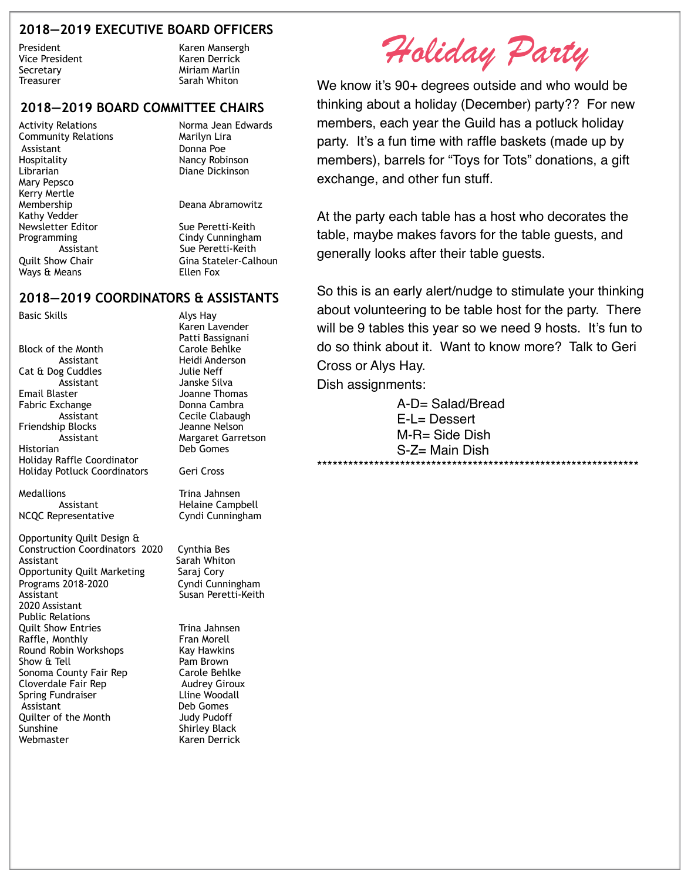#### **2018—2019 EXECUTIVE BOARD OFFICERS**

Secretary **Miriam Marlin** Treasurer **Sarah Whiton** 

President Karen Mansergh Vice President Karen Derrick

#### **2018—2019 BOARD COMMITTEE CHAIRS**

Community Relations Marilyn Lira Assistant Donna Poe Hospitality **Nancy Robinson**<br>
Librarian China Biane Dickinson Mary Pepsco Kerry Mertle Membership Deana Abramowitz Kathy Vedder Newsletter Editor<br>Programming Sue Peretti-Keith<br>Cindy Cunninghar Ways & Means **Ellen** Fox

Activity Relations **Norma Jean Edwards** Diane Dickinson

Cindy Cunning ham Assistant Sue Peretti-Keith Quilt Show Chair Gina Stateler-Calhoun

#### **2018—2019 COORDINATORS & ASSISTANTS**

Basic Skills **Alys** Hay

Block of the Month Carole Behlke Assistant Heidi Anderson Cat & Dog Cuddles Julie Neff Assistant Janske Silva Email Blaster **Galactic Exercise State Server** Joanne Thomas<br>Fabric Exchange **Joanne Thoma** Cambra Fabric Exchange Friendship Blocks Jeanne Nelson Historian Deb Gomes Holiday Raffle Coordinator Holiday Potluck Coordinators Geri Cross

Medallions **Trina Jahnsen** 

Opportunity Quilt Design & Construction Coordinators 2020 Cynthia Bes Assistant Sarah Whiton Opportunity Quilt Marketing Saraj Cory Programs 2018-2020 Cyndi Cunningham 2020 Assistant Public Relations Quilt Show Entries Trina Jahnsen Raffle, Monthly **Fran Morell** Round Robin Workshops Kay Hawkins<br>Show & Tell Show Ram Brown Show  $\mathrm{ft}$  Tell Sonoma County Fair Rep Carole Behlke Cloverdale Fair Rep Audrey Giroux Spring Fundraiser **Line Woodall** Assistant Deb Gomes Quilter of the Month **Judy Pudoff**<br>Sunshine **Sunshine** Shirley Black Webmaster **Karen Derrick** 

 Karen Lavender Patti Bassignani Assistant Cecile Clabaugh Assistant Margaret Garretson

Assistant Helaine Campbell NCQC Representative Cyndi Cunningham

Susan Peretti-Keith

Shirley Black

*Holiday Party* 

We know it's 90+ degrees outside and who would be thinking about a holiday (December) party?? For new members, each year the Guild has a potluck holiday party. It's a fun time with raffle baskets (made up by members), barrels for "Toys for Tots" donations, a gift exchange, and other fun stuff.

At the party each table has a host who decorates the table, maybe makes favors for the table guests, and generally looks after their table guests.

So this is an early alert/nudge to stimulate your thinking about volunteering to be table host for the party. There will be 9 tables this year so we need 9 hosts. It's fun to do so think about it. Want to know more? Talk to Geri Cross or Alys Hay.

Dish assignments:

A-D= Salad/Bread E-L= Dessert M-R= Side Dish S-Z= Main Dish \*\*\*\*\*\*\*\*\*\*\*\*\*\*\*\*\*\*\*\*\*\*\*\*\*\*\*\*\*\*\*\*\*\*\*\*\*\*\*\*\*\*\*\*\*\*\*\*\*\*\*\*\*\*\*\*\*\*\*\*\*\*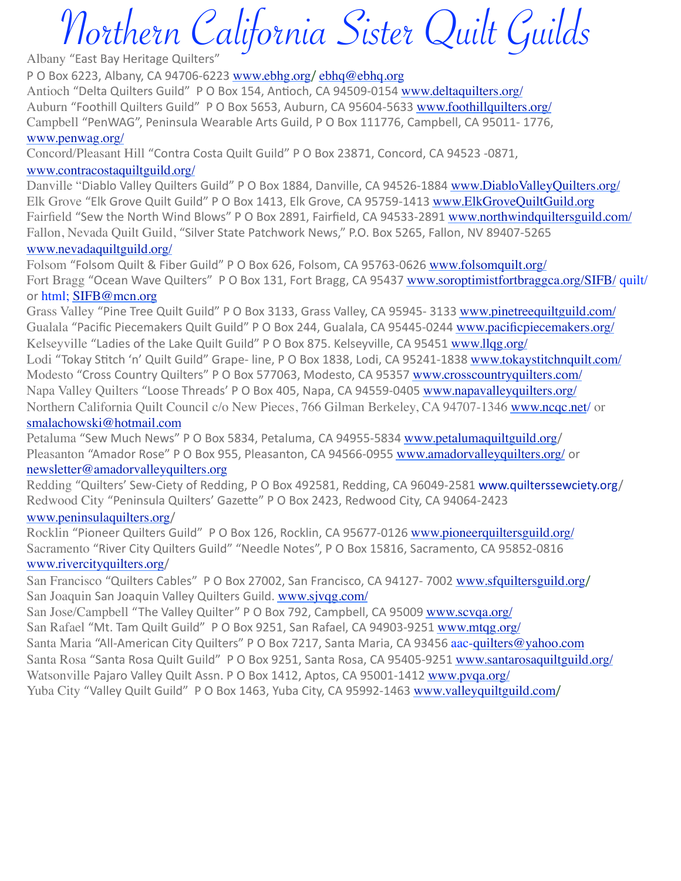# Northern California Sister Quilt Guilds

Albany "East Bay Heritage Quilters"

P O Box 6223, Albany, CA 94706-6223 [www.ebhg.org](http://www.ebhg.org/)/ [ebhq@ebhq.org](mailto:ebhq@ebhq.org) Antioch "Delta Quilters Guild" P O Box 154, Antioch, CA 94509-0154 [www.deltaquilters.org/](http://www.deltaquilters.org/) Auburn "Foothill Quilters Guild" P O Box 5653, Auburn, CA 95604-5633 [www.foothillquilters.org/](http://www.foothillquilters.org/) Campbell "PenWAG", Peninsula Wearable Arts Guild, P O Box 111776, Campbell, CA 95011- 1776, [www.penwag.org/](http://www.penwag.org/)

Concord/Pleasant Hill "Contra Costa Quilt Guild" P O Box 23871, Concord, CA 94523 -0871,

#### [www.contracostaquiltguild.org/](http://www.contracostaquiltguild.org/)

Danville "Diablo Valley Quilters Guild" P O Box 1884, Danville, CA 94526-1884 [www.DiabloValleyQuilters.org/](http://www.diablovalleyquilters.org/) Elk Grove "Elk Grove Quilt Guild" P O Box 1413, Elk Grove, CA 95759-1413 [www.ElkGroveQuiltGuild.org](http://www.elkgrovequiltguild.org/) Fairfield "Sew the North Wind Blows" P O Box 2891, Fairfield, CA 94533-2891 [www.northwindquiltersguild.com/](http://www.northwindquiltersguild.com/) Fallon, Nevada Quilt Guild, "Silver State Patchwork News," P.O. Box 5265, Fallon, NV 89407-5265

#### [www.nevadaquiltguild.org/](http://www.nevadaquiltguild.org/)

Folsom "Folsom Quilt & Fiber Guild" P O Box 626, Folsom, CA 95763-0626 [www.folsomquilt.org/](http://www.folsomquilt.org/) Fort Bragg "Ocean Wave Quilters" P O Box 131, Fort Bragg, CA 95437 [www.soroptimistfortbraggca.org/SIFB/](http://www.soroptimistfortbraggca.org/SIFB/) quilt/ or html: [SIFB@mcn.org](mailto:SIFB@mcn.org)

Grass Valley "Pine Tree Quilt Guild" P O Box 3133, Grass Valley, CA 95945- 3133 [www.pinetreequiltguild.com/](http://www.pinetreequiltguild.com/) Gualala "Pacific Piecemakers Quilt Guild" P O Box 244, Gualala, CA 95445-0244 [www.pacificpiecemakers.org/](http://www.pacificpiecemakers.org/) Kelseyville "Ladies of the Lake Quilt Guild" P O Box 875. Kelseyville, CA 95451 [www.llqg.org/](http://www.llqg.org/) Lodi "Tokay Stitch 'n' Quilt Guild" Grape- line, P O Box 1838, Lodi, CA 95241-1838 [www.tokaystitchnquilt.com/](http://www.tokaystitchnquilt.com/) Modesto "Cross Country Quilters" P O Box 577063, Modesto, CA 95357 [www.crosscountryquilters.com/](http://www.crosscountryquilters.com/) Napa Valley Quilters "Loose Threads' P O Box 405, Napa, CA 94559-0405 [www.napavalleyquilters.org/](http://www.napavalleyquilters.org/) Northern California Quilt Council c/o New Pieces, 766 Gilman Berkeley, CA 94707-1346 [www.ncqc.net](http://www.ncqc.net/)/ or [smalachowski@hotmail.com](mailto:smalachowski@hotmail.com)

Petaluma "Sew Much News" P O Box 5834, Petaluma, CA 94955-5834 [www.petalumaquiltguild.org](http://www.petalumaquiltguild.org/)/ Pleasanton "Amador Rose" P O Box 955, Pleasanton, CA 94566-0955 [www.amadorvalleyquilters.org/](http://www.amadorvalleyquilters.org/) or [newsletter@amadorvalleyquilters.org](mailto:newsletter@amadorvalleyquilters.org)

Redding "Quilters' Sew-Ciety of Redding, P O Box 492581, Redding, CA 96049-2581 www.quilterssewciety.org/ Redwood City "Peninsula Quilters' Gazette" P O Box 2423, Redwood City, CA 94064-2423

#### [www.peninsulaquilters.org](http://www.peninsulaquilters.org/)/

Rocklin "Pioneer Quilters Guild" P O Box 126, Rocklin, CA 95677-0126 [www.pioneerquiltersguild.org/](http://www.pioneerquiltersguild.org/) Sacramento "River City Quilters Guild" "Needle Notes", P O Box 15816, Sacramento, CA 95852-0816 [www.rivercityquilters.org](http://www.rivercityquilters.org/)/

San Francisco "Quilters Cables" P O Box 27002, San Francisco, CA 94127- 7002 [www.sfquiltersguild.org](http://www.sfquiltersguild.org/)/ San Joaquin San Joaquin Valley Quilters Guild. [www.sjvqg.com/](http://www.sjvqg.com/)

San Jose/Campbell "The Valley Quilter" P O Box 792, Campbell, CA 95009 [www.scvqa.org/](http://www.scvqa.org/) San Rafael "Mt. Tam Quilt Guild" P O Box 9251, San Rafael, CA 94903-9251 [www.mtqg.org/](http://www.mtqg.org/) Santa Maria "All-American City Quilters" P O Box 7217, Santa Maria, CA 93456 aac[-quilters@yahoo.com](mailto:quilters@yahoo.com) Santa Rosa "Santa Rosa Quilt Guild" P O Box 9251, Santa Rosa, CA 95405-9251 [www.santarosaquiltguild.org/](http://www.santarosaquiltguild.org/) Watsonville Pajaro Valley Quilt Assn. P O Box 1412, Aptos, CA 95001-1412 [www.pvqa.org/](http://www.pvqa.org/) Yuba City "Valley Quilt Guild" P O Box 1463, Yuba City, CA 95992-1463 [www.valleyquiltguild.com](http://www.valleyquiltguild.com/)/